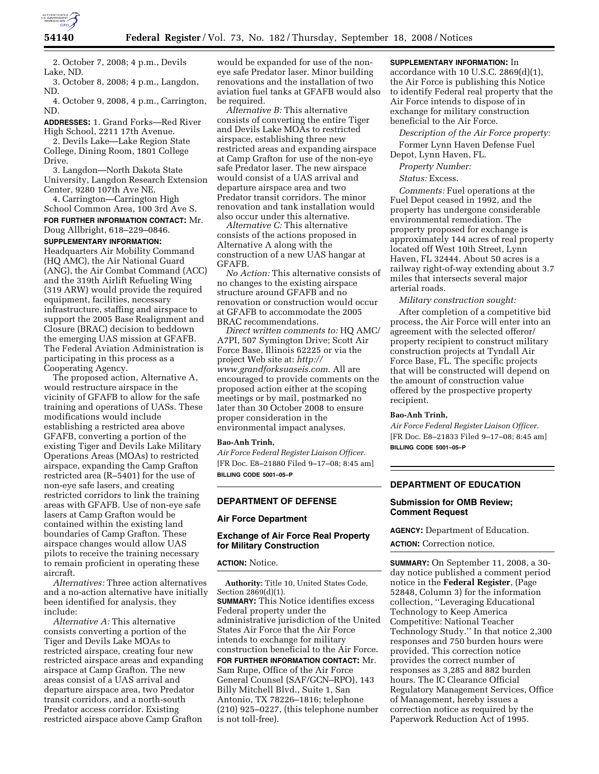

2. October 7, 2008; 4 p.m., Devils Lake, ND.

3. October 8, 2008; 4 p.m., Langdon, ND.

4. October 9, 2008, 4 p.m., Carrington, ND.

**ADDRESSES:** 1. Grand Forks—Red River High School, 2211 17th Avenue.

2. Devils Lake—Lake Region State College, Dining Room, 1801 College Drive.

3. Langdon—North Dakota State University, Langdon Research Extension Center, 9280 107th Ave NE.

4. Carrington—Carrington High School Common Area, 100 3rd Ave S. **FOR FURTHER INFORMATION CONTACT:** Mr.

Doug Allbright, 618–229–0846.

# **SUPPLEMENTARY INFORMATION:**

Headquarters Air Mobility Command (HQ AMC), the Air National Guard (ANG), the Air Combat Command (ACC) and the 319th Airlift Refueling Wing (319 ARW) would provide the required equipment, facilities, necessary infrastructure, staffing and airspace to support the 2005 Base Realignment and Closure (BRAC) decision to beddown the emerging UAS mission at GFAFB. The Federal Aviation Administration is participating in this process as a Cooperating Agency.

The proposed action, Alternative A, would restructure airspace in the vicinity of GFAFB to allow for the safe training and operations of UASs. These modifications would include establishing a restricted area above GFAFB, converting a portion of the existing Tiger and Devils Lake Military Operations Areas (MOAs) to restricted airspace, expanding the Camp Grafton restricted area (R–5401) for the use of non-eye safe lasers, and creating restricted corridors to link the training areas with GFAFB. Use of non-eye safe lasers at Camp Grafton would be contained within the existing land boundaries of Camp Grafton. These airspace changes would allow UAS pilots to receive the training necessary to remain proficient in operating these aircraft.

*Alternatives:* Three action alternatives and a no-action alternative have initially been identified for analysis, they include:

*Alternative A:* This alternative consists converting a portion of the Tiger and Devils Lake MOAs to restricted airspace, creating four new restricted airspace areas and expanding airspace at Camp Grafton. The new areas consist of a UAS arrival and departure airspace area, two Predator transit corridors, and a north-south Predator access corridor. Existing restricted airspace above Camp Grafton

would be expanded for use of the noneye safe Predator laser. Minor building renovations and the installation of two aviation fuel tanks at GFAFB would also be required.

*Alternative B:* This alternative consists of converting the entire Tiger and Devils Lake MOAs to restricted airspace, establishing three new restricted areas and expanding airspace at Camp Grafton for use of the non-eye safe Predator laser. The new airspace would consist of a UAS arrival and departure airspace area and two Predator transit corridors. The minor renovation and tank installation would also occur under this alternative.

*Alternative C:* This alternative consists of the actions proposed in Alternative A along with the construction of a new UAS hangar at GFAFB.

*No Action:* This alternative consists of no changes to the existing airspace structure around GFAFB and no renovation or construction would occur at GFAFB to accommodate the 2005 BRAC recommendations.

*Direct written comments to:* HQ AMC/ A7PI, 507 Symington Drive; Scott Air Force Base, Illinois 62225 or via the project Web site at: *http:// www.grandforksuaseis.com*. All are encouraged to provide comments on the proposed action either at the scoping meetings or by mail, postmarked no later than 30 October 2008 to ensure proper consideration in the environmental impact analyses.

#### **Bao-Anh Trinh,**

*Air Force Federal Register Liaison Officer.*  [FR Doc. E8–21880 Filed 9–17–08; 8:45 am] **BILLING CODE 5001–05–P** 

## **DEPARTMENT OF DEFENSE**

### **Air Force Department**

## **Exchange of Air Force Real Property for Military Construction**

# **ACTION:** Notice.

**Authority:** Title 10, United States Code, Section 2869(d)(1). **SUMMARY:** This Notice identifies excess Federal property under the administrative jurisdiction of the United States Air Force that the Air Force intends to exchange for military construction beneficial to the Air Force. **FOR FURTHER INFORMATION CONTACT:** Mr. Sam Rupe, Office of the Air Force General Counsel (SAF/GCN–RPO), 143 Billy Mitchell Blvd., Suite 1, San

Antonio, TX 78226–1816; telephone (210) 925–0227, (this telephone number is not toll-free).

#### **SUPPLEMENTARY INFORMATION:** In

accordance with 10 U.S.C. 2869(d)(1), the Air Force is publishing this Notice to identify Federal real property that the Air Force intends to dispose of in exchange for military construction beneficial to the Air Force.

*Description of the Air Force property:*  Former Lynn Haven Defense Fuel

Depot, Lynn Haven, FL. *Property Number:* 

*Status:* Excess.

*Comments:* Fuel operations at the Fuel Depot ceased in 1992, and the property has undergone considerable environmental remediation. The property proposed for exchange is approximately 144 acres of real property located off West 10th Street, Lynn Haven, FL 32444. About 50 acres is a railway right-of-way extending about 3.7 miles that intersects several major arterial roads.

*Military construction sought:* 

After completion of a competitive bid process, the Air Force will enter into an agreement with the selected offeror/ property recipient to construct military construction projects at Tyndall Air Force Base, FL. The specific projects that will be constructed will depend on the amount of construction value offered by the prospective property recipient.

## **Bao-Anh Trinh,**

*Air Force Federal Register Liaison Officer.*  [FR Doc. E8–21833 Filed 9–17–08; 8:45 am] **BILLING CODE 5001–05–P** 

#### **DEPARTMENT OF EDUCATION**

### **Submission for OMB Review; Comment Request**

**AGENCY:** Department of Education.

**ACTION:** Correction notice.

**SUMMARY:** On September 11, 2008, a 30 day notice published a comment period notice in the **Federal Register**, (Page 52848, Column 3) for the information collection, ''Leveraging Educational Technology to Keep America Competitive: National Teacher Technology Study.'' In that notice 2,300 responses and 750 burden hours were provided. This correction notice provides the correct number of responses as 3,285 and 882 burden hours. The IC Clearance Official Regulatory Management Services, Office of Management, hereby issues a correction notice as required by the Paperwork Reduction Act of 1995.